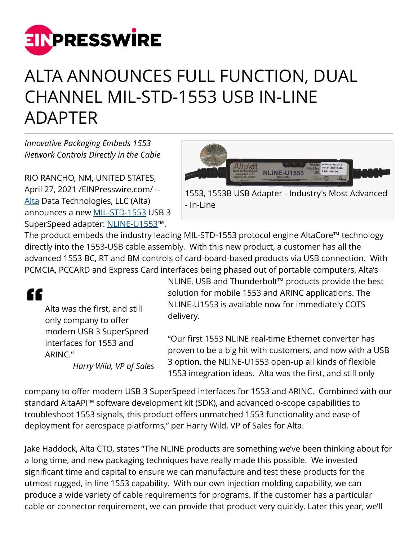

## ALTA ANNOUNCES FULL FUNCTION, DUAL CHANNEL MIL-STD-1553 USB IN-LINE ADAPTER

*Innovative Packaging Embeds 1553 Network Controls Directly in the Cable*

RIO RANCHO, NM, UNITED STATES, April 27, 2021 /[EINPresswire.com/](http://www.einpresswire.com) -- [Alta](https://www.altadt.com/) Data Technologies, LLC (Alta) announces a new [MIL-STD-1553](https://www.altadt.com/support/tutorials/mil-std-1553-tutorial-and-reference/) USB 3 SuperSpeed adapter: [NLINE-U1553](https://www.altadt.com/product/nline-u1553-usb)™.



The product embeds the industry leading MIL-STD-1553 protocol engine AltaCore™ technology directly into the 1553-USB cable assembly. With this new product, a customer has all the advanced 1553 BC, RT and BM controls of card-board-based products via USB connection. With PCMCIA, PCCARD and Express Card interfaces being phased out of portable computers, Alta's



Alta was the first, and still only company to offer modern USB 3 SuperSpeed interfaces for 1553 and ARINC."

*Harry Wild, VP of Sales*

NLINE, USB and Thunderbolt™ products provide the best solution for mobile 1553 and ARINC applications. The NLINE-U1553 is available now for immediately COTS delivery.

"Our first 1553 NLINE real-time Ethernet converter has proven to be a big hit with customers, and now with a USB 3 option, the NLINE-U1553 open-up all kinds of flexible 1553 integration ideas. Alta was the first, and still only

company to offer modern USB 3 SuperSpeed interfaces for 1553 and ARINC. Combined with our standard AltaAPI™ software development kit (SDK), and advanced o-scope capabilities to troubleshoot 1553 signals, this product offers unmatched 1553 functionality and ease of deployment for aerospace platforms," per Harry Wild, VP of Sales for Alta.

Jake Haddock, Alta CTO, states "The NLINE products are something we've been thinking about for a long time, and new packaging techniques have really made this possible. We invested significant time and capital to ensure we can manufacture and test these products for the utmost rugged, in-line 1553 capability. With our own injection molding capability, we can produce a wide variety of cable requirements for programs. If the customer has a particular cable or connector requirement, we can provide that product very quickly. Later this year, we'll